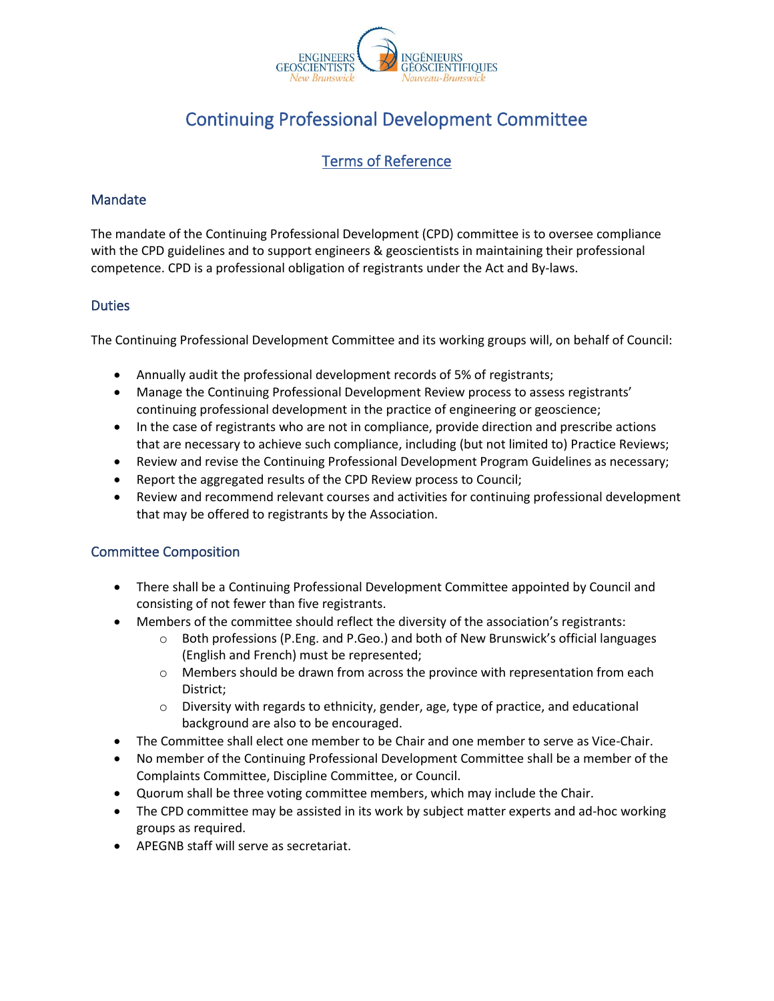

# Continuing Professional Development Committee

# Terms of Reference

## Mandate

The mandate of the Continuing Professional Development (CPD) committee is to oversee compliance with the CPD guidelines and to support engineers & geoscientists in maintaining their professional competence. CPD is a professional obligation of registrants under the Act and By-laws.

#### **Duties**

The Continuing Professional Development Committee and its working groups will, on behalf of Council:

- Annually audit the professional development records of 5% of registrants;
- Manage the Continuing Professional Development Review process to assess registrants' continuing professional development in the practice of engineering or geoscience;
- In the case of registrants who are not in compliance, provide direction and prescribe actions that are necessary to achieve such compliance, including (but not limited to) Practice Reviews;
- Review and revise the Continuing Professional Development Program Guidelines as necessary;
- Report the aggregated results of the CPD Review process to Council;
- Review and recommend relevant courses and activities for continuing professional development that may be offered to registrants by the Association.

#### Committee Composition

- There shall be a Continuing Professional Development Committee appointed by Council and consisting of not fewer than five registrants.
- Members of the committee should reflect the diversity of the association's registrants:
	- $\circ$  Both professions (P.Eng. and P.Geo.) and both of New Brunswick's official languages (English and French) must be represented;
	- $\circ$  Members should be drawn from across the province with representation from each District;
	- $\circ$  Diversity with regards to ethnicity, gender, age, type of practice, and educational background are also to be encouraged.
- The Committee shall elect one member to be Chair and one member to serve as Vice-Chair.
- No member of the Continuing Professional Development Committee shall be a member of the Complaints Committee, Discipline Committee, or Council.
- Quorum shall be three voting committee members, which may include the Chair.
- The CPD committee may be assisted in its work by subject matter experts and ad*-*hoc working groups as required.
- APEGNB staff will serve as secretariat.